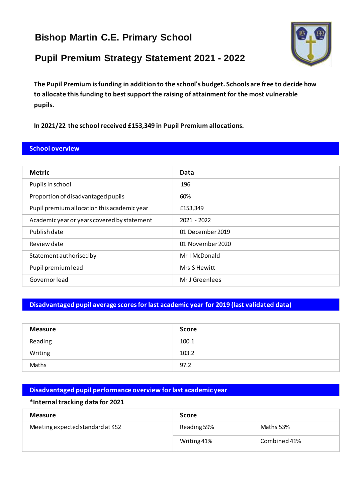# **Bishop Martin C.E. Primary School**

# **Pupil Premium Strategy Statement 2021 - 2022**



**The Pupil Premium is funding in addition to the school's budget. Schools are free to decide how to allocate this funding to best support the raising of attainment for the most vulnerable pupils.** 

**In 2021/22 the school received £153,349 in Pupil Premium allocations.**

### **School overview**

| <b>Metric</b>                               | Data             |  |
|---------------------------------------------|------------------|--|
| Pupils in school                            | 196              |  |
| Proportion of disadvantaged pupils          | 60%              |  |
| Pupil premium allocation this academic year | £153,349         |  |
| Academic year or years covered by statement | $2021 - 2022$    |  |
| Publish date                                | 01 December 2019 |  |
| Review date                                 | 01 November 2020 |  |
| Statement authorised by                     | Mr I McDonald    |  |
| Pupil premium lead                          | Mrs S Hewitt     |  |
| Governorlead                                | Mr J Greenlees   |  |

### **Disadvantaged pupil average scores for last academic year for 2019 (last validated data)**

| <b>Measure</b> | <b>Score</b> |
|----------------|--------------|
| Reading        | 100.1        |
| Writing        | 103.2        |
| Maths          | 97.2         |

#### **Disadvantaged pupil performance overview for last academic year**

#### **\*Internal tracking data for 2021**

| <b>Measure</b>                   | Score       |              |
|----------------------------------|-------------|--------------|
| Meeting expected standard at KS2 | Reading 59% | Maths 53%    |
|                                  | Writing 41% | Combined 41% |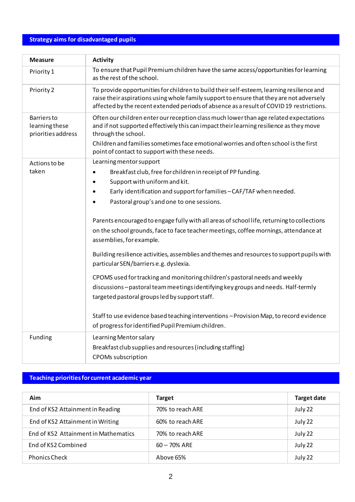### **Strategy aims for disadvantaged pupils**

| <b>Measure</b>                                             | <b>Activity</b>                                                                                                                                                                                                                                                                  |
|------------------------------------------------------------|----------------------------------------------------------------------------------------------------------------------------------------------------------------------------------------------------------------------------------------------------------------------------------|
| Priority 1                                                 | To ensure that Pupil Premium children have the same access/opportunities for learning<br>as the rest of the school.                                                                                                                                                              |
| Priority 2                                                 | To provide opportunities for children to build their self-esteem, learning resilience and<br>raise their aspirations using whole family support to ensure that they are not adversely<br>affected by the recent extended periods of absence as a result of COVID19 restrictions. |
| <b>Barriers</b> to<br>learning these<br>priorities address | Often our children enter our reception class much lower than age related expectations<br>and if not supported effectively this can impact their learning resilience as they move<br>through the school.                                                                          |
|                                                            | Children and families sometimes face emotional worries and often school is the first<br>point of contact to support with these needs.                                                                                                                                            |
| Actions to be                                              | Learning mentor support                                                                                                                                                                                                                                                          |
| taken                                                      | Breakfast club, free for children in receipt of PP funding.<br>$\bullet$                                                                                                                                                                                                         |
|                                                            | Support with uniform and kit.                                                                                                                                                                                                                                                    |
|                                                            | Early identification and support for families - CAF/TAF when needed.                                                                                                                                                                                                             |
|                                                            | Pastoral group's and one to one sessions.                                                                                                                                                                                                                                        |
|                                                            | Parents encouraged to engage fully with all areas of school life, returning to collections<br>on the school grounds, face to face teacher meetings, coffee mornings, attendance at<br>assemblies, for example.                                                                   |
|                                                            | Building resilience activities, assemblies and themes and resources to support pupils with<br>particular SEN/barriers e.g. dyslexia.                                                                                                                                             |
|                                                            | CPOMS used for tracking and monitoring children's pastoral needs and weekly                                                                                                                                                                                                      |
|                                                            | discussions-pastoral team meetings identifying key groups and needs. Half-termly<br>targeted pastoral groups led by support staff.                                                                                                                                               |
|                                                            | Staff to use evidence based teaching interventions - Provision Map, to record evidence<br>of progress for identified Pupil Premium children.                                                                                                                                     |
| Funding                                                    | Learning Mentor salary<br>Breakfast club supplies and resources (including staffing)<br>CPOMs subscription                                                                                                                                                                       |

# **Teaching priorities for current academic year**

| Aim                                  | <b>Target</b>    | <b>Target date</b> |
|--------------------------------------|------------------|--------------------|
| End of KS2 Attainment in Reading     | 70% to reach ARE | July 22            |
| End of KS2 Attainment in Writing     | 60% to reach ARE | July 22            |
| End of KS2 Attainment in Mathematics | 70% to reach ARE | July 22            |
| End of KS2 Combined                  | $60 - 70%$ ARE   | July 22            |
| <b>Phonics Check</b>                 | Above 65%        | July 22            |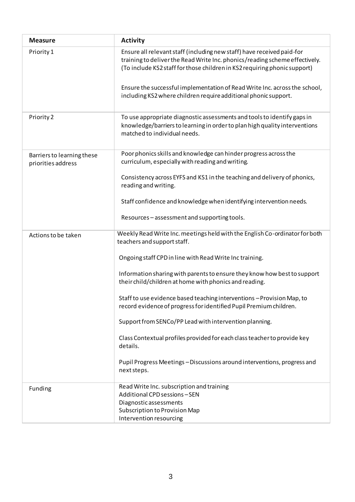| <b>Measure</b>                                   | <b>Activity</b>                                                                                                                                                                                                                    |
|--------------------------------------------------|------------------------------------------------------------------------------------------------------------------------------------------------------------------------------------------------------------------------------------|
| Priority 1                                       | Ensure all relevant staff (including new staff) have received paid-for<br>training to deliver the Read Write Inc. phonics/reading scheme effectively.<br>(To include KS2 staff for those children in KS2 requiring phonic support) |
|                                                  | Ensure the successful implementation of Read Write Inc. across the school,<br>including KS2 where children require additional phonic support.                                                                                      |
| Priority 2                                       | To use appropriate diagnostic assessments and tools to identify gaps in<br>knowledge/barriers to learning in order to plan high quality interventions<br>matched to individual needs.                                              |
| Barriers to learning these<br>priorities address | Poor phonics skills and knowledge can hinder progress across the<br>curriculum, especially with reading and writing.                                                                                                               |
|                                                  | Consistency across EYFS and KS1 in the teaching and delivery of phonics,<br>reading and writing.                                                                                                                                   |
|                                                  | Staff confidence and knowledge when identifying intervention needs.                                                                                                                                                                |
|                                                  | Resources-assessment and supporting tools.                                                                                                                                                                                         |
| Actions to be taken                              | Weekly Read Write Inc. meetings held with the English Co-ordinator for both<br>teachers and support staff.                                                                                                                         |
|                                                  | Ongoing staff CPD in line with Read Write Inc training.                                                                                                                                                                            |
|                                                  | Information sharing with parents to ensure they know how best to support<br>their child/children at home with phonics and reading.                                                                                                 |
|                                                  | Staff to use evidence based teaching interventions - Provision Map, to<br>record evidence of progress for identified Pupil Premium children.                                                                                       |
|                                                  | Support from SENCo/PP Lead with intervention planning.                                                                                                                                                                             |
|                                                  | Class Contextual profiles provided for each class teacher to provide key<br>details.                                                                                                                                               |
|                                                  | Pupil Progress Meetings - Discussions around interventions, progress and<br>next steps.                                                                                                                                            |
| Funding                                          | Read Write Inc. subscription and training<br>Additional CPD sessions-SEN<br>Diagnostic assessments                                                                                                                                 |
|                                                  | Subscription to Provision Map<br>Intervention resourcing                                                                                                                                                                           |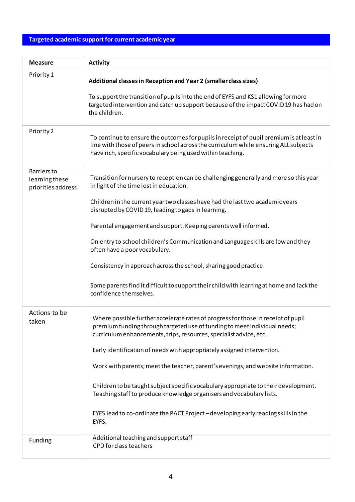### **Targeted academic support for current academic year**

| <b>Measure</b>                                             | <b>Activity</b>                                                                                                                                                                                                                                                                                                                                                                                                                                                                                                                                                                                                                                                   |
|------------------------------------------------------------|-------------------------------------------------------------------------------------------------------------------------------------------------------------------------------------------------------------------------------------------------------------------------------------------------------------------------------------------------------------------------------------------------------------------------------------------------------------------------------------------------------------------------------------------------------------------------------------------------------------------------------------------------------------------|
| Priority 1                                                 | Additional classes in Reception and Year 2 (smaller class sizes)<br>To support the transition of pupils into the end of EYFS and KS1 allowing for more<br>targeted intervention and catch up support because of the impact COVID 19 has had on<br>the children.                                                                                                                                                                                                                                                                                                                                                                                                   |
| Priority 2                                                 | To continue to ensure the outcomes for pupils in receipt of pupil premium is at least in<br>line with those of peers in school across the curriculum while ensuring ALL subjects<br>have rich, specific vocabulary being used within teaching.                                                                                                                                                                                                                                                                                                                                                                                                                    |
| <b>Barriers</b> to<br>learning these<br>priorities address | Transition for nursery to reception can be challenging generally and more so this year<br>in light of the time lost in education.<br>Children in the current year two classes have had the last two academic years<br>disrupted by COVID 19, leading to gaps in learning.<br>Parental engagement and support. Keeping parents well informed.<br>On entry to school children's Communication and Language skills are low and they<br>often have a poor vocabulary.<br>Consistency in approach across the school, sharing good practice.<br>Some parents find it difficult to support their child with learning at home and lack the<br>confidence themselves.      |
| Actions to be<br>taken                                     | Where possible further accelerate rates of progress for those in receipt of pupil<br>premium funding through targeted use of funding to meet individual needs;<br>curriculum enhancements, trips, resources, specialist advice, etc.<br>Early identification of needs with appropriately assigned intervention.<br>Work with parents; meet the teacher, parent's evenings, and website information.<br>Children to be taught subject specific vocabulary appropriate to their development.<br>Teaching staff to produce knowledge organisers and vocabulary lists.<br>EYFS lead to co-ordinate the PACT Project - developing early reading skills in the<br>EYFS. |
| Funding                                                    | Additional teaching and support staff<br>CPD for class teachers                                                                                                                                                                                                                                                                                                                                                                                                                                                                                                                                                                                                   |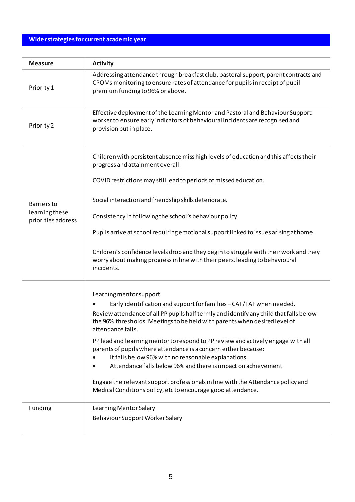### **Wider strategies for current academic year**

| <b>Measure</b>                                             | <b>Activity</b>                                                                                                                                                                                           |
|------------------------------------------------------------|-----------------------------------------------------------------------------------------------------------------------------------------------------------------------------------------------------------|
| Priority 1                                                 | Addressing attendance through breakfast club, pastoral support, parent contracts and<br>CPOMs monitoring to ensure rates of attendance for pupils in receipt of pupil<br>premium funding to 96% or above. |
| Priority 2                                                 | Effective deployment of the Learning Mentor and Pastoral and Behaviour Support<br>worker to ensure early indicators of behavioural incidents are recognised and<br>provision put in place.                |
|                                                            | Children with persistent absence miss high levels of education and this affects their<br>progress and attainment overall.                                                                                 |
|                                                            | COVID restrictions may still lead to periods of missed education.                                                                                                                                         |
| <b>Barriers</b> to<br>learning these<br>priorities address | Social interaction and friendship skills deteriorate.                                                                                                                                                     |
|                                                            | Consistency in following the school's behaviour policy.                                                                                                                                                   |
|                                                            | Pupils arrive at school requiring emotional support linked to issues arising at home.                                                                                                                     |
|                                                            | Children's confidence levels drop and they begin to struggle with their work and they<br>worry about making progress in line with their peers, leading to behavioural<br>incidents.                       |
|                                                            | Learning mentor support                                                                                                                                                                                   |
|                                                            | Early identification and support for families - CAF/TAF when needed.                                                                                                                                      |
|                                                            | Review attendance of all PP pupils half termly and identify any child that falls below<br>the 96% thresholds. Meetings to be held with parents when desired level of<br>attendance falls.                 |
|                                                            | PP lead and learning mentor to respond to PP review and actively engage with all<br>parents of pupils where attendance is a concern either because:                                                       |
|                                                            | It falls below 96% with no reasonable explanations.                                                                                                                                                       |
|                                                            | Attendance falls below 96% and there is impact on achievement                                                                                                                                             |
|                                                            | Engage the relevant support professionals in line with the Attendance policy and<br>Medical Conditions policy, etc to encourage good attendance.                                                          |
| Funding                                                    | Learning Mentor Salary                                                                                                                                                                                    |
|                                                            | Behaviour Support Worker Salary                                                                                                                                                                           |